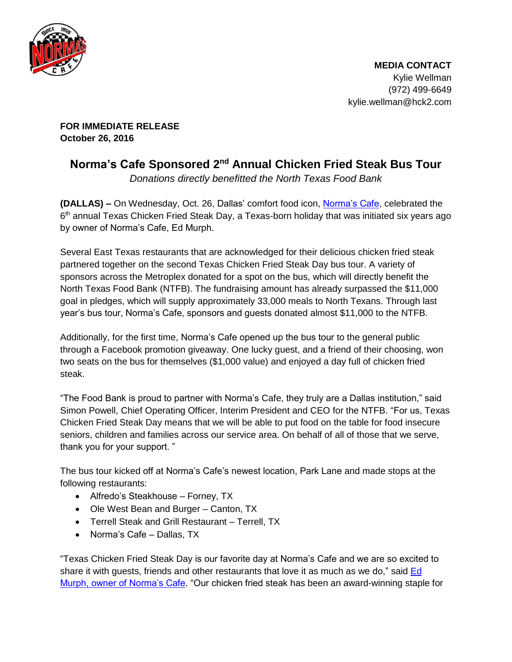

**FOR IMMEDIATE RELEASE October 26, 2016** 

## **Norma's Cafe Sponsored 2nd Annual Chicken Fried Steak Bus Tour**

Donations directly benefitted the North Texas Food Bank

**(DALLAS) –** On Wednesday, Oct. 26, Dallas' comfort food icon, [Norma's Cafe](http://normascafe.com/), celebrated the 6<sup>th</sup> annual Texas Chicken Fried Steak Day, a Texas-born holiday that was initiated six years ago by owner of Norma's Cafe, Ed Murph.

Several East Texas restaurants that are acknowledged for their delicious chicken fried steak partnered together on the second Texas Chicken Fried Steak Day bus tour. A variety of sponsors across the Metroplex donated for a spot on the bus, which will directly benefit the North Texas Food Bank (NTFB). The fundraising amount has already surpassed the \$11,000 goal in pledges, which will supply approximately 33,000 meals to North Texans. Through last year's bus tour, Norma's Cafe, sponsors and guests donated almost \$11,000 to the NTFB.

Additionally, for the first time, Norma's Cafe opened up the bus tour to the general public through a Facebook promotion giveaway. One lucky guest, and a friend of their choosing, won two seats on the bus for themselves (\$1,000 value) and enjoyed a day full of chicken fried steak.

"The Food Bank is proud to partner with Norma's Cafe, they truly are a Dallas institution," said Simon Powell, Chief Operating Officer, Interim President and CEO for the NTFB. "For us, Texas Chicken Fried Steak Day means that we will be able to put food on the table for food insecure seniors, children and families across our service area. On behalf of all of those that we serve, thank you for your support. "

The bus tour kicked off at Norma's Cafe's newest location, Park Lane and made stops at the following restaurants:

- Alfredo's Steakhouse Forney, TX
- Ole West Bean and Burger Canton, TX
- Terrell Steak and Grill Restaurant Terrell, TX
- Norma's Cafe Dallas, TX

"Texas Chicken Fried Steak Day is our favorite day at Norma's Cafe and we are so excited to share it with guests, friends and other restaurants that love it as much as we do," said [Ed](http://www.normascafe.com/about/)  [Murph, owner of Norma's Cafe](http://www.normascafe.com/about/). "Our chicken fried steak has been an award-winning staple for